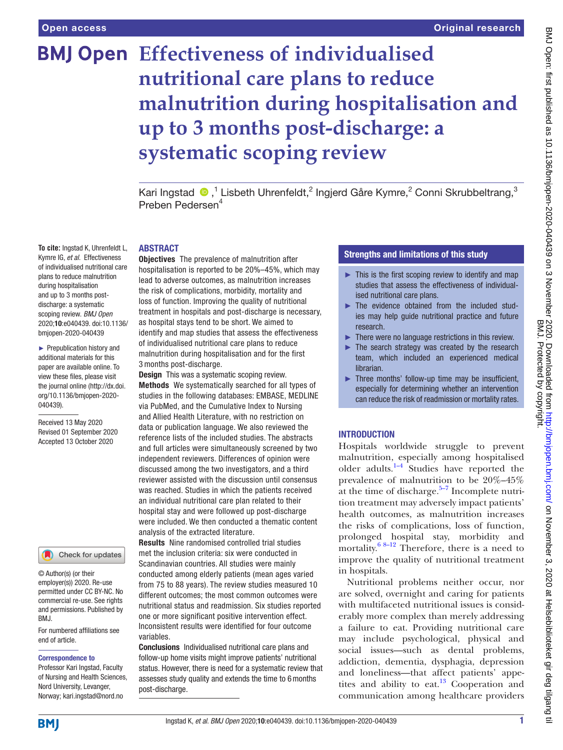# **BMJ Open Effectiveness of individualised nutritional care plans to reduce malnutrition during hospitalisation and up to 3 months post-discharge: a systematic scoping review**

KariIngstad  $\bigcirc$ ,<sup>1</sup> Lisbeth Uhrenfeldt,<sup>2</sup> Ingjerd Gåre Kymre,<sup>2</sup> Conni Skrubbeltrang,<sup>3</sup> Preben Pedersen4

#### ABSTRACT

**To cite:** Ingstad K, Uhrenfeldt L, Kymre IG, *et al*. Effectiveness of individualised nutritional care plans to reduce malnutrition during hospitalisation and up to 3 months postdischarge: a systematic scoping review. *BMJ Open* 2020;10:e040439. doi:10.1136/ bmjopen-2020-040439

► Prepublication history and additional materials for this paper are available online. To view these files, please visit the journal online (http://dx.doi. org/10.1136/bmjopen-2020- 040439).

Received 13 May 2020 Revised 01 September 2020 Accepted 13 October 2020

# Check for updates

© Author(s) (or their employer(s)) 2020. Re-use permitted under CC BY-NC. No commercial re-use. See rights and permissions. Published by RM<sub>J</sub>

For numbered affiliations see end of article.

#### Correspondence to

Professor Kari Ingstad, Faculty of Nursing and Health Sciences, Nord University, Levanger, Norway; kari.ingstad@nord.no

Objectives The prevalence of malnutrition after hospitalisation is reported to be 20%–45%, which may lead to adverse outcomes, as malnutrition increases the risk of complications, morbidity, mortality and loss of function. Improving the quality of nutritional treatment in hospitals and post-discharge is necessary, as hospital stays tend to be short. We aimed to identify and map studies that assess the effectiveness of individualised nutritional care plans to reduce malnutrition during hospitalisation and for the first 3 months post-discharge.

**Design** This was a systematic scoping review. Methods We systematically searched for all types of studies in the following databases: EMBASE, MEDLINE via PubMed, and the Cumulative Index to Nursing and Allied Health Literature, with no restriction on data or publication language. We also reviewed the reference lists of the included studies. The abstracts and full articles were simultaneously screened by two independent reviewers. Differences of opinion were discussed among the two investigators, and a third reviewer assisted with the discussion until consensus was reached. Studies in which the patients received an individual nutritional care plan related to their hospital stay and were followed up post-discharge were included. We then conducted a thematic content analysis of the extracted literature.

Results Nine randomised controlled trial studies met the inclusion criteria: six were conducted in Scandinavian countries. All studies were mainly conducted among elderly patients (mean ages varied from 75 to 88 years). The review studies measured 10 different outcomes; the most common outcomes were nutritional status and readmission. Six studies reported one or more significant positive intervention effect. Inconsistent results were identified for four outcome variables.

Conclusions Individualised nutritional care plans and follow-up home visits might improve patients' nutritional status. However, there is need for a systematic review that assesses study quality and extends the time to 6months post-discharge.

# Strengths and limitations of this study

- $\blacktriangleright$  This is the first scoping review to identify and map studies that assess the effectiveness of individualised nutritional care plans.
- ► The evidence obtained from the included studies may help guide nutritional practice and future research.
- $\blacktriangleright$  There were no language restrictions in this review.
- $\blacktriangleright$  The search strategy was created by the research team, which included an experienced medical librarian.
- ► Three months' follow-up time may be insufficient, especially for determining whether an intervention can reduce the risk of readmission or mortality rates.

# INTRODUCTION

Hospitals worldwide struggle to prevent malnutrition, especially among hospitalised older adults. $1-4$  Studies have reported the prevalence of malnutrition to be 20%–45% at the time of discharge. $5-7$  Incomplete nutrition treatment may adversely impact patients' health outcomes, as malnutrition increases the risks of complications, loss of function, prolonged hospital stay, morbidity and mortality. $68-12$  Therefore, there is a need to improve the quality of nutritional treatment in hospitals.

Nutritional problems neither occur, nor are solved, overnight and caring for patients with multifaceted nutritional issues is considerably more complex than merely addressing a failure to eat. Providing nutritional care may include psychological, physical and social issues—such as dental problems, addiction, dementia, dysphagia, depression and loneliness—that affect patients' appetites and ability to eat. $13$  Cooperation and communication among healthcare providers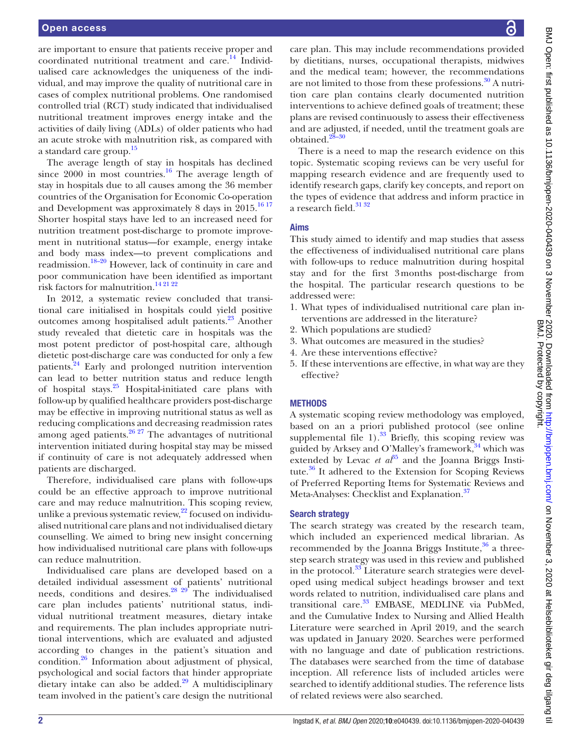are important to ensure that patients receive proper and coordinated nutritional treatment and care.<sup>14</sup> Individualised care acknowledges the uniqueness of the individual, and may improve the quality of nutritional care in cases of complex nutritional problems. One randomised controlled trial (RCT) study indicated that individualised nutritional treatment improves energy intake and the activities of daily living (ADLs) of older patients who had an acute stroke with malnutrition risk, as compared with a standard care group[.15](#page-8-5)

The average length of stay in hospitals has declined since  $2000$  in most countries.<sup>16</sup> The average length of stay in hospitals due to all causes among the 36 member countries of the Organisation for Economic Co-operation and Development was approximately 8 days in  $2015^{16}$ <sup>17</sup> Shorter hospital stays have led to an increased need for nutrition treatment post-discharge to promote improvement in nutritional status—for example, energy intake and body mass index—to prevent complications and readmission.[18–20](#page-8-7) However, lack of continuity in care and poor communication have been identified as important risk factors for malnutrition.[14 21 22](#page-8-4)

In 2012, a systematic review concluded that transitional care initialised in hospitals could yield positive outcomes among hospitalised adult patients.<sup>23</sup> Another study revealed that dietetic care in hospitals was the most potent predictor of post-hospital care, although dietetic post-discharge care was conducted for only a few patients.<sup>[24](#page-8-9)</sup> Early and prolonged nutrition intervention can lead to better nutrition status and reduce length of hospital stays[.25](#page-8-10) Hospital-initiated care plans with follow-up by qualified healthcare providers post-discharge may be effective in improving nutritional status as well as reducing complications and decreasing readmission rates among aged patients. $\frac{26\,27}{2}$  The advantages of nutritional intervention initiated during hospital stay may be missed if continuity of care is not adequately addressed when patients are discharged.

Therefore, individualised care plans with follow-ups could be an effective approach to improve nutritional care and may reduce malnutrition. This scoping review, unlike a previous systematic review, $^{22}$  $^{22}$  $^{22}$  focused on individualised nutritional care plans and not individualised dietary counselling. We aimed to bring new insight concerning how individualised nutritional care plans with follow-ups can reduce malnutrition.

Individualised care plans are developed based on a detailed individual assessment of patients' nutritional needs, conditions and desires.<sup>28</sup> <sup>29</sup> The individualised care plan includes patients' nutritional status, individual nutritional treatment measures, dietary intake and requirements. The plan includes appropriate nutritional interventions, which are evaluated and adjusted according to changes in the patient's situation and condition[.26](#page-8-11) Information about adjustment of physical, psychological and social factors that hinder appropriate dietary intake can also be added. $29$  A multidisciplinary team involved in the patient's care design the nutritional

care plan. This may include recommendations provided by dietitians, nurses, occupational therapists, midwives and the medical team; however, the recommendations are not limited to those from these professions. $30$  A nutrition care plan contains clearly documented nutrition interventions to achieve defined goals of treatment; these plans are revised continuously to assess their effectiveness and are adjusted, if needed, until the treatment goals are obtained.<sup>28</sup>

There is a need to map the research evidence on this topic. Systematic scoping reviews can be very useful for mapping research evidence and are frequently used to identify research gaps, clarify key concepts, and report on the types of evidence that address and inform practice in a research field. $3132$ 

# Aims

This study aimed to identify and map studies that assess the effectiveness of individualised nutritional care plans with follow-ups to reduce malnutrition during hospital stay and for the first 3months post-discharge from the hospital. The particular research questions to be addressed were:

- 1. What types of individualised nutritional care plan interventions are addressed in the literature?
- 2. Which populations are studied?
- 3. What outcomes are measured in the studies?
- 4. Are these interventions effective?
- 5. If these interventions are effective, in what way are they effective?

# **METHODS**

A systematic scoping review methodology was employed, based on an a priori published protocol (see [online](https://dx.doi.org/10.1136/bmjopen-2020-040439)  [supplemental file 1\)](https://dx.doi.org/10.1136/bmjopen-2020-040439). $^{33}$  Briefly, this scoping review was guided by Arksey and O'Malley's framework, $34$  which was extended by Levac *et*  $a^{35}$  and the Joanna Briggs Institute.<sup>36</sup> It adhered to the Extension for Scoping Reviews of Preferred Reporting Items for Systematic Reviews and Meta-Analyses: Checklist and Explanation.<sup>37</sup>

# Search strategy

The search strategy was created by the research team, which included an experienced medical librarian. As recommended by the Joanna Briggs Institute, $36$  a threestep search strategy was used in this review and published in the protocol.<sup>[33](#page-8-17)</sup> Literature search strategies were developed using medical subject headings browser and text words related to nutrition, individualised care plans and transitional care.<sup>33</sup> EMBASE, MEDLINE via PubMed, and the Cumulative Index to Nursing and Allied Health Literature were searched in April 2019, and the search was updated in January 2020. Searches were performed with no language and date of publication restrictions. The databases were searched from the time of database inception. All reference lists of included articles were searched to identify additional studies. The reference lists of related reviews were also searched.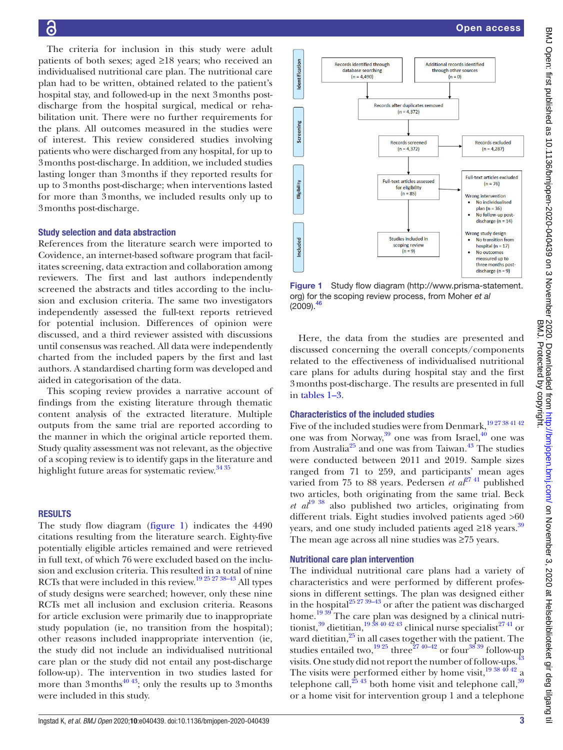The criteria for inclusion in this study were adult patients of both sexes; aged ≥18 years; who received an individualised nutritional care plan. The nutritional care plan had to be written, obtained related to the patient's hospital stay, and followed-up in the next 3months postdischarge from the hospital surgical, medical or rehabilitation unit. There were no further requirements for the plans. All outcomes measured in the studies were of interest. This review considered studies involving patients who were discharged from any hospital, for up to 3months post-discharge. In addition, we included studies lasting longer than 3months if they reported results for up to 3months post-discharge; when interventions lasted for more than 3months, we included results only up to 3months post-discharge.

# Study selection and data abstraction

References from the literature search were imported to Covidence, an internet-based software program that facilitates screening, data extraction and collaboration among reviewers. The first and last authors independently screened the abstracts and titles according to the inclusion and exclusion criteria. The same two investigators independently assessed the full-text reports retrieved for potential inclusion. Differences of opinion were discussed, and a third reviewer assisted with discussions until consensus was reached. All data were independently charted from the included papers by the first and last authors. A standardised charting form was developed and aided in categorisation of the data.

This scoping review provides a narrative account of findings from the existing literature through thematic content analysis of the extracted literature. Multiple outputs from the same trial are reported according to the manner in which the original article reported them. Study quality assessment was not relevant, as the objective of a scoping review is to identify gaps in the literature and highlight future areas for systematic review.<sup>34 35</sup>

#### RESULTS

The study flow diagram [\(figure](#page-2-0) 1) indicates the 4490 citations resulting from the literature search. Eighty-five potentially eligible articles remained and were retrieved in full text, of which 76 were excluded based on the inclusion and exclusion criteria. This resulted in a total of nine RCTs that were included in this review.<sup>19 25 27 38–43</sup> All types of study designs were searched; however, only these nine RCTs met all inclusion and exclusion criteria. Reasons for article exclusion were primarily due to inappropriate study population (ie, no transition from the hospital); other reasons included inappropriate intervention (ie, the study did not include an individualised nutritional care plan or the study did not entail any post-discharge follow-up). The intervention in two studies lasted for more than 3 months<sup>40 43</sup>; only the results up to 3 months were included in this study.



<span id="page-2-0"></span>Figure 1 Study flow diagram [\(http://www.prisma-statement.](http://www.prisma-statement.org) [org\)](http://www.prisma-statement.org) for the scoping review process, from Moher *et al*  $(2009).<sup>46</sup>$ 

Here, the data from the studies are presented and discussed concerning the overall concepts/components related to the effectiveness of individualised nutritional care plans for adults during hospital stay and the first 3months post-discharge. The results are presented in full in [tables](#page-3-0) 1–3.

# Characteristics of the included studies

Five of the included studies were from Denmark,<sup>1927</sup> 38 41 42 one was from Norway,<sup>39</sup> one was from Israel,<sup>40</sup> one was from Australia<sup>25</sup> and one was from Taiwan.<sup>43</sup> The studies were conducted between 2011 and 2019. Sample sizes ranged from 71 to 259, and participants' mean ages varied from 75 to 88 years. Pedersen *et al*<sup>27 41</sup> published two articles, both originating from the same trial. Beck *et al*[19 38](#page-8-18) also published two articles, originating from different trials. Eight studies involved patients aged >60 years, and one study included patients aged  $\geq$ 18 years.<sup>[39](#page-9-5)</sup> The mean age across all nine studies was ≥75 years.

#### Nutritional care plan intervention

The individual nutritional care plans had a variety of characteristics and were performed by different professions in different settings. The plan was designed either in the hospital<sup>25</sup> <sup>27</sup> <sup>39–43</sup> or after the patient was discharged home.<sup>1939</sup> The care plan was designed by a clinical nutritionist, $39$  dietitian, $19\,38\,40\,42\,43$  clinical nurse specialist $^{27\,41}$  or ward dietitian,<sup>25</sup> in all cases together with the patient. The studies entailed two, $\frac{19\,25}{19\,25}$  three<sup>27 40–42</sup> or four<sup>38 39</sup> follow-up visits. One study did not report the number of follow-ups.  $^{43}$  $^{43}$  $^{43}$ The visits were performed either by home visit,  $19\frac{384042}{2}$  a telephone call,  $^{25}$  43 both home visit and telephone call,  $^{39}$  $^{39}$  $^{39}$ or a home visit for intervention group 1 and a telephone

 $\equiv$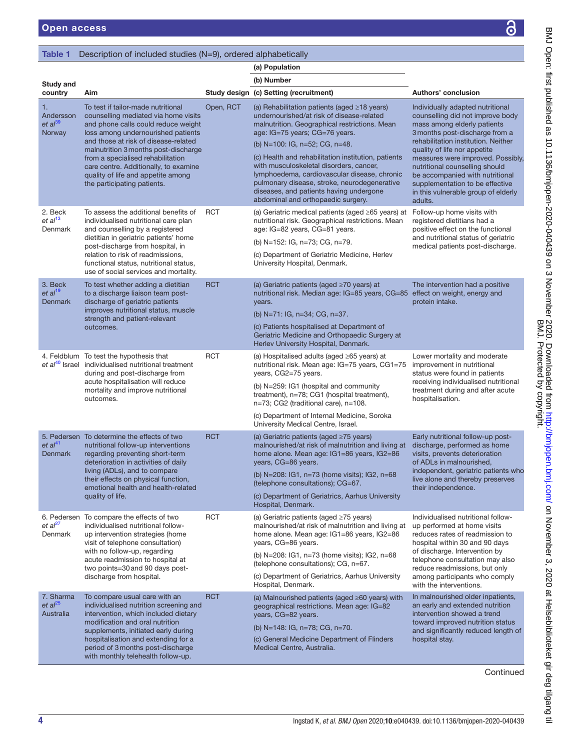Study and<br>country

1.

# <span id="page-3-0"></span>Table 1 Description of included studies (N=9), ordered alphabetically

country Aim Study design (c) Setting (recruitment)

Authors' conclusion

| $\mathbf C$                                                                                                                                                            |                  |
|------------------------------------------------------------------------------------------------------------------------------------------------------------------------|------------------|
|                                                                                                                                                                        |                  |
|                                                                                                                                                                        |                  |
| <b>utritional</b><br>prove body<br>datients<br>rge from a<br><sub>n.</sub> Neither<br>etite<br>ved. Possibly,<br>should<br>nutritional<br>e effective<br>ip of elderly | င်<br>၁၁         |
| ; with<br>ad a<br>functional<br>of geriatric<br>-discharge.                                                                                                            | 20-040439 on     |
| a positive<br>gy and                                                                                                                                                   |                  |
| าoderate<br>onal<br>batients<br>d nutritional<br>after acute                                                                                                           |                  |
| -up post<br>as home<br>pration<br>ied,<br>patients who<br>preserves                                                                                                    |                  |
| nal follow-<br>e visits<br>mission to<br>90 days<br>tion by<br>n may also<br>but only<br>ho comply                                                                     | ₾<br>ቧ<br>ω<br>Ñ |
| inpatients,<br>d nutrition<br>u trend<br>ition status<br>ced length of                                                                                                 | ஜ                |
| Continued                                                                                                                                                              |                  |
| 1-2020-040439                                                                                                                                                          |                  |

| 1.<br>Andersson<br>et al <sup>39</sup><br>Norway | To test if tailor-made nutritional<br>counselling mediated via home visits<br>and phone calls could reduce weight<br>loss among undernourished patients<br>and those at risk of disease-related<br>malnutrition 3 months post-discharge<br>from a specialised rehabilitation<br>care centre. Additionally, to examine<br>quality of life and appetite among<br>the participating patients. | Open, RCT  | (a) Rehabilitation patients (aged $\geq$ 18 years)<br>undernourished/at risk of disease-related<br>malnutrition. Geographical restrictions. Mean<br>age: IG=75 years; CG=76 years.<br>(b) N=100: IG, n=52; CG, n=48.<br>(c) Health and rehabilitation institution, patients<br>with musculoskeletal disorders, cancer,<br>lymphoedema, cardiovascular disease, chronic<br>pulmonary disease, stroke, neurodegenerative<br>diseases, and patients having undergone<br>abdominal and orthopaedic surgery. | Individually adapted nutritional<br>counselling did not improve body<br>mass among elderly patients<br>3 months post-discharge from a<br>rehabilitation institution. Neither<br>quality of life nor appetite<br>measures were improved. Possibly,<br>nutritional counselling should<br>be accompanied with nutritional<br>supplementation to be effective<br>in this vulnerable group of elderly<br>adults. |
|--------------------------------------------------|--------------------------------------------------------------------------------------------------------------------------------------------------------------------------------------------------------------------------------------------------------------------------------------------------------------------------------------------------------------------------------------------|------------|---------------------------------------------------------------------------------------------------------------------------------------------------------------------------------------------------------------------------------------------------------------------------------------------------------------------------------------------------------------------------------------------------------------------------------------------------------------------------------------------------------|-------------------------------------------------------------------------------------------------------------------------------------------------------------------------------------------------------------------------------------------------------------------------------------------------------------------------------------------------------------------------------------------------------------|
| 2. Beck<br>et al <sup>13</sup><br>Denmark        | To assess the additional benefits of<br>individualised nutritional care plan<br>and counselling by a registered<br>dietitian in geriatric patients' home<br>post-discharge from hospital, in<br>relation to risk of readmissions,<br>functional status, nutritional status,<br>use of social services and mortality.                                                                       | <b>RCT</b> | (a) Geriatric medical patients (aged $\geq 65$ years) at<br>nutritional risk. Geographical restrictions. Mean<br>age: IG=82 years, CG=81 years.<br>(b) N=152: IG, n=73; CG, n=79.<br>(c) Department of Geriatric Medicine, Herlev<br>University Hospital, Denmark.                                                                                                                                                                                                                                      | Follow-up home visits with<br>registered dietitians had a<br>positive effect on the functional<br>and nutritional status of geriatric<br>medical patients post-discharge.                                                                                                                                                                                                                                   |
| 3. Beck<br>et al <sup>19</sup><br>Denmark        | To test whether adding a dietitian<br>to a discharge liaison team post-<br>discharge of geriatric patients<br>improves nutritional status, muscle<br>strength and patient-relevant<br>outcomes.                                                                                                                                                                                            | <b>RCT</b> | (a) Geriatric patients (aged $\geq 70$ years) at<br>nutritional risk. Median age: IG=85 years, CG=85<br>years.<br>(b) N=71: IG, n=34; CG, n=37.<br>(c) Patients hospitalised at Department of<br>Geriatric Medicine and Orthopaedic Surgery at<br>Herlev University Hospital, Denmark.                                                                                                                                                                                                                  | The intervention had a positive<br>effect on weight, energy and<br>protein intake.                                                                                                                                                                                                                                                                                                                          |
|                                                  | 4. Feldblum To test the hypothesis that<br>et al <sup>40</sup> Israel individualised nutritional treatment<br>during and post-discharge from<br>acute hospitalisation will reduce<br>mortality and improve nutritional<br>outcomes.                                                                                                                                                        | <b>RCT</b> | (a) Hospitalised adults (aged $\geq 65$ years) at<br>nutritional risk. Mean age: IG=75 years, CG1=75<br>years, CG2=75 years.<br>(b) N=259: IG1 (hospital and community<br>treatment), n=78; CG1 (hospital treatment),<br>n=73; CG2 (traditional care), n=108.<br>(c) Department of Internal Medicine, Soroka<br>University Medical Centre, Israel.                                                                                                                                                      | Lower mortality and moderate<br>improvement in nutritional<br>status were found in patients<br>receiving individualised nutritional<br>treatment during and after acute<br>hospitalisation.                                                                                                                                                                                                                 |
| et al <sup>41</sup><br>Denmark                   | 5. Pedersen To determine the effects of two<br>nutritional follow-up interventions<br>regarding preventing short-term<br>deterioration in activities of daily<br>living (ADLs), and to compare<br>their effects on physical function,<br>emotional health and health-related<br>quality of life.                                                                                           | <b>RCT</b> | (a) Geriatric patients (aged $\geq 75$ years)<br>malnourished/at risk of malnutrition and living at<br>home alone. Mean age: IG1=86 years, IG2=86<br>years, CG=86 years.<br>(b) N=208: IG1, n=73 (home visits); IG2, n=68<br>(telephone consultations); CG=67.<br>(c) Department of Geriatrics, Aarhus University<br>Hospital, Denmark.                                                                                                                                                                 | Early nutritional follow-up post-<br>discharge, performed as home<br>visits, prevents deterioration<br>of ADLs in malnourished,<br>independent, geriatric patients who<br>live alone and thereby preserves<br>their independence.                                                                                                                                                                           |
| et al <sup>27</sup><br>Denmark                   | 6. Pedersen To compare the effects of two<br>individualised nutritional follow-<br>up intervention strategies (home<br>visit of telephone consultation)<br>with no follow-up, regarding<br>acute readmission to hospital at<br>two points=30 and 90 days post-<br>discharge from hospital.                                                                                                 | <b>RCT</b> | (a) Geriatric patients (aged $\geq 75$ years)<br>malnourished/at risk of malnutrition and living at up performed at home visits<br>home alone. Mean age: IG1=86 years, IG2=86<br>years, CG=86 years.<br>(b) N=208: IG1, n=73 (home visits); IG2, n=68<br>(telephone consultations); CG, n=67.<br>(c) Department of Geriatrics, Aarhus University<br>Hospital, Denmark.                                                                                                                                  | Individualised nutritional follow-<br>reduces rates of readmission to<br>hospital within 30 and 90 days<br>of discharge. Intervention by<br>telephone consultation may also<br>reduce readmissions, but only<br>among participants who comply<br>with the interventions.                                                                                                                                    |
| 7. Sharma<br>et al <sup>25</sup><br>Australia    | To compare usual care with an<br>individualised nutrition screening and<br>intervention, which included dietary<br>modification and oral nutrition<br>supplements, initiated early during<br>hospitalisation and extending for a<br>period of 3 months post-discharge<br>with monthly telehealth follow-up.                                                                                | <b>RCT</b> | (a) Malnourished patients (aged $\geq 60$ years) with<br>geographical restrictions. Mean age: IG=82<br>years, CG=82 years.<br>(b) N=148: IG, n=78; CG, n=70.<br>(c) General Medicine Department of Flinders<br>Medical Centre, Australia.                                                                                                                                                                                                                                                               | In malnourished older inpatients,<br>an early and extended nutrition<br>intervention showed a trend<br>toward improved nutrition status<br>and significantly reduced length of<br>hospital stay.                                                                                                                                                                                                            |

(a) Population

(b) Number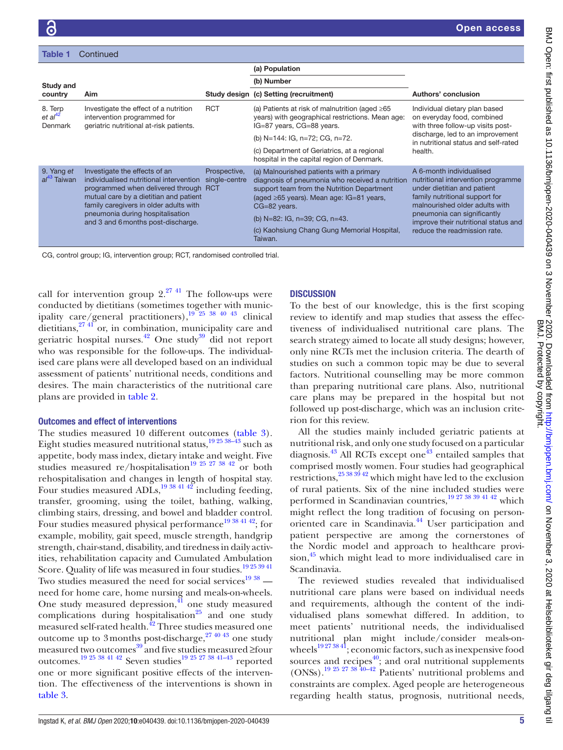| <b>Table 1</b>                            | Continued                                                                                                                                                                                                                                                                       |                               |                                                                                                                                                                                                                                                                                                  |                                                                                                                                                                                                                                                                          |  |
|-------------------------------------------|---------------------------------------------------------------------------------------------------------------------------------------------------------------------------------------------------------------------------------------------------------------------------------|-------------------------------|--------------------------------------------------------------------------------------------------------------------------------------------------------------------------------------------------------------------------------------------------------------------------------------------------|--------------------------------------------------------------------------------------------------------------------------------------------------------------------------------------------------------------------------------------------------------------------------|--|
|                                           |                                                                                                                                                                                                                                                                                 |                               | (a) Population                                                                                                                                                                                                                                                                                   |                                                                                                                                                                                                                                                                          |  |
| Study and                                 |                                                                                                                                                                                                                                                                                 |                               | (b) Number                                                                                                                                                                                                                                                                                       |                                                                                                                                                                                                                                                                          |  |
| country                                   | Aim                                                                                                                                                                                                                                                                             |                               | Study design (c) Setting (recruitment)                                                                                                                                                                                                                                                           | Authors' conclusion                                                                                                                                                                                                                                                      |  |
| 8. Terp<br>et al <sup>42</sup><br>Denmark | Investigate the effect of a nutrition<br>intervention programmed for<br>geriatric nutritional at-risk patients.                                                                                                                                                                 | <b>RCT</b>                    | (a) Patients at risk of malnutrition (aged $\geq 65$<br>years) with geographical restrictions. Mean age:<br>IG=87 years, CG=88 years.                                                                                                                                                            | Individual dietary plan based<br>on everyday food, combined<br>with three follow-up visits post-                                                                                                                                                                         |  |
|                                           |                                                                                                                                                                                                                                                                                 |                               | (b) N=144: IG, n=72; CG, n=72.                                                                                                                                                                                                                                                                   | discharge, led to an improvement<br>in nutritional status and self-rated<br>health.                                                                                                                                                                                      |  |
|                                           |                                                                                                                                                                                                                                                                                 |                               | (c) Department of Geriatrics, at a regional<br>hospital in the capital region of Denmark.                                                                                                                                                                                                        |                                                                                                                                                                                                                                                                          |  |
| 9. Yang et<br>al <sup>43</sup> Taiwan     | Investigate the effects of an<br>individualised nutritional intervention<br>programmed when delivered through RCT<br>mutual care by a dietitian and patient<br>family caregivers in older adults with<br>pneumonia during hospitalisation<br>and 3 and 6 months post-discharge. | Prospective,<br>single-centre | (a) Malnourished patients with a primary<br>diagnosis of pneumonia who received a nutrition<br>support team from the Nutrition Department<br>(aged ≥65 years). Mean age: IG=81 years,<br>CG=82 years.<br>(b) N=82: IG, n=39; CG, n=43.<br>(c) Kaohsiung Chang Gung Memorial Hospital,<br>Taiwan. | A 6-month individualised<br>nutritional intervention programme<br>under dietitian and patient<br>family nutritional support for<br>malnourished older adults with<br>pneumonia can significantly<br>improve their nutritional status and<br>reduce the readmission rate. |  |

CG, control group; IG, intervention group; RCT, randomised controlled trial.

call for intervention group  $2^{27}$  <sup>41</sup>. The follow-ups were conducted by dietitians (sometimes together with municipality care/general practitioners), $19\frac{19}{25}$  38 40 43 clinical dietitians, $27 \frac{41}{10}$  or, in combination, municipality care and geriatric hospital nurses.[42](#page-9-10) One stud[y39](#page-9-5) did not report who was responsible for the follow-ups. The individualised care plans were all developed based on an individual assessment of patients' nutritional needs, conditions and desires. The main characteristics of the nutritional care plans are provided in [table](#page-5-0) 2.

#### Outcomes and effect of interventions

The studies measured 10 different outcomes ([table](#page-7-0) 3). Eight studies measured nutritional status,  $19\frac{25\frac{38-43}{3}}{81\frac{1}{12}}$  such as appetite, body mass index, dietary intake and weight. Five studies measured re/hospitalisation<sup>19 25 27 38 42</sup> or both rehospitalisation and changes in length of hospital stay. Four studies measured ADLs,<sup>19 38 41 42</sup> including feeding, transfer, grooming, using the toilet, bathing, walking, climbing stairs, dressing, and bowel and bladder control. Four studies measured physical performance<sup>[19 38 41 42](#page-8-18)</sup>; for example, mobility, gait speed, muscle strength, handgrip strength, chair-stand, disability, and tiredness in daily activities, rehabilitation capacity and Cumulated Ambulation Score. Quality of life was measured in four studies.<sup>[19 25 39 41](#page-8-18)</sup> Two studies measured the need for social services $1938$  need for home care, home nursing and meals-on-wheels. One study measured depression, $\frac{4}{11}$  one study measured complications during hospitalisation<sup>25</sup> and one study measured self-rated health.<sup>42</sup> Three studies measured one outcome up to 3 months post-discharge,  $27\frac{40\frac{43}{10}}{20}$  one study measured two outcomes<sup>39</sup> and five studies measured ≥four outcomes.<sup>19 25 38 41 42</sup> Seven studies<sup>[19 25 27 38 41–43](#page-8-18)</sup> reported one or more significant positive effects of the intervention. The effectiveness of the interventions is shown in [table](#page-7-0) 3.

# **DISCUSSION**

To the best of our knowledge, this is the first scoping review to identify and map studies that assess the effectiveness of individualised nutritional care plans. The search strategy aimed to locate all study designs; however, only nine RCTs met the inclusion criteria. The dearth of studies on such a common topic may be due to several factors. Nutritional counselling may be more common than preparing nutritional care plans. Also, nutritional care plans may be prepared in the hospital but not followed up post-discharge, which was an inclusion criterion for this review.

All the studies mainly included geriatric patients at nutritional risk, and only one study focused on a particular diagnosis.<sup>43</sup> All RCTs except one<sup>43</sup> entailed samples that comprised mostly women. Four studies had geographical restrictions,  $^{25\,38\,39\,42}$  which might have led to the exclusion of rural patients. Six of the nine included studies were performed in Scandinavian countries, $\frac{19\,27\,38\,39\,41\,42}{100\,N}$  which might reflect the long tradition of focusing on personoriented care in Scandinavia.<sup>44</sup> User participation and patient perspective are among the cornerstones of the Nordic model and approach to healthcare provi $sion,$ <sup>45</sup> which might lead to more individualised care in Scandinavia.

The reviewed studies revealed that individualised nutritional care plans were based on individual needs and requirements, although the content of the individualised plans somewhat differed. In addition, to meet patients' nutritional needs, the individualised nutritional plan might include/consider meals-onwheels<sup>19273841</sup>; economic factors, such as inexpensive food sources and recipes $40$ ; and oral nutritional supplements (ONSs).[19 25 27 38 40–42](#page-8-18) Patients' nutritional problems and constraints are complex. Aged people are heterogeneous regarding health status, prognosis, nutritional needs,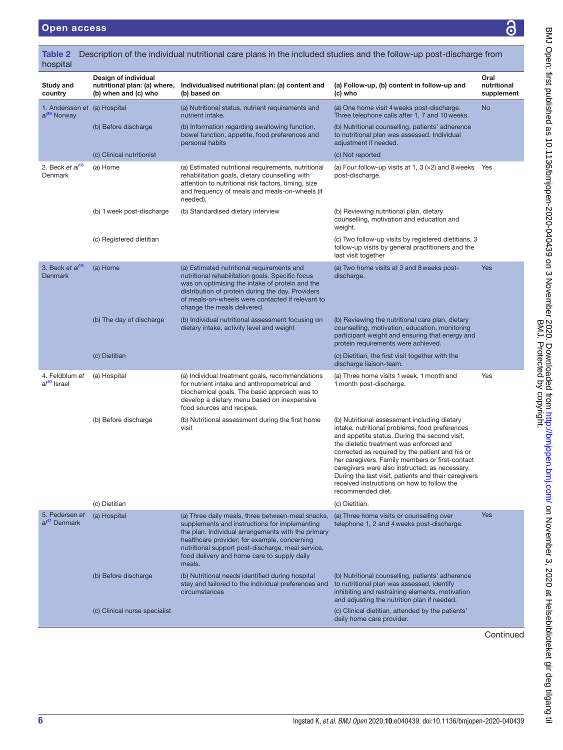<span id="page-5-0"></span>

| Table 2<br>hospital                                     |                                                                              | Description of the individual nutritional care plans in the included studies and the follow-up post-discharge from                                                                                                                                                                                                     |                                                                                                                                                                                                                                                                                                                                                                                                                                                                               |                                   |
|---------------------------------------------------------|------------------------------------------------------------------------------|------------------------------------------------------------------------------------------------------------------------------------------------------------------------------------------------------------------------------------------------------------------------------------------------------------------------|-------------------------------------------------------------------------------------------------------------------------------------------------------------------------------------------------------------------------------------------------------------------------------------------------------------------------------------------------------------------------------------------------------------------------------------------------------------------------------|-----------------------------------|
| Study and<br>country                                    | Design of individual<br>nutritional plan: (a) where,<br>(b) when and (c) who | Individualised nutritional plan: (a) content and<br>(b) based on                                                                                                                                                                                                                                                       | (a) Follow-up, (b) content in follow-up and<br>(c) who                                                                                                                                                                                                                                                                                                                                                                                                                        | Oral<br>nutritional<br>supplement |
| 1. Andersson et (a) Hospital<br>al <sup>39</sup> Norway |                                                                              | (a) Nutritional status, nutrient requirements and<br>nutrient intake.                                                                                                                                                                                                                                                  | (a) One home visit 4 weeks post-discharge.<br>Three telephone calls after 1, 7 and 10 weeks.                                                                                                                                                                                                                                                                                                                                                                                  | No                                |
|                                                         | (b) Before discharge                                                         | (b) Information regarding swallowing function,<br>bowel function, appetite, food preferences and<br>personal habits                                                                                                                                                                                                    | (b) Nutritional counselling, patients' adherence<br>to nutritional plan was assessed. Individual<br>adjustment if needed.                                                                                                                                                                                                                                                                                                                                                     |                                   |
|                                                         | (c) Clinical nutritionist                                                    |                                                                                                                                                                                                                                                                                                                        | (c) Not reported                                                                                                                                                                                                                                                                                                                                                                                                                                                              |                                   |
| 2. Beck et al <sup>18</sup><br>Denmark                  | (a) Home                                                                     | (a) Estimated nutritional requirements, nutritional<br>rehabilitation goals, dietary counselling with<br>attention to nutritional risk factors, timing, size<br>and frequency of meals and meals-on-wheels (if<br>needed).                                                                                             | (a) Four follow-up visits at 1, 3 $(x2)$ and 8 weeks<br>post-discharge.                                                                                                                                                                                                                                                                                                                                                                                                       | Yes                               |
|                                                         | (b) 1 week post-discharge                                                    | (b) Standardised dietary interview                                                                                                                                                                                                                                                                                     | (b) Reviewing nutritional plan, dietary<br>counselling, motivation and education and<br>weight.                                                                                                                                                                                                                                                                                                                                                                               |                                   |
|                                                         | (c) Registered dietitian                                                     |                                                                                                                                                                                                                                                                                                                        | (c) Two follow-up visits by registered dietitians, 3<br>follow-up visits by general practitioners and the<br>last visit together                                                                                                                                                                                                                                                                                                                                              |                                   |
| 3. Beck et al <sup>19</sup><br><b>Denmark</b>           | (a) Home                                                                     | (a) Estimated nutritional requirements and<br>nutritional rehabilitation goals. Specific focus<br>was on optimising the intake of protein and the<br>distribution of protein during the day. Providers<br>of meals-on-wheels were contacted if relevant to<br>change the meals delivered.                              | (a) Two home visits at 3 and 8 weeks post-<br>discharge.                                                                                                                                                                                                                                                                                                                                                                                                                      | <b>Yes</b>                        |
|                                                         | (b) The day of discharge                                                     | (b) Individual nutritional assessment focusing on<br>dietary intake, activity level and weight                                                                                                                                                                                                                         | (b) Reviewing the nutritional care plan, dietary<br>counselling, motivation, education, monitoring<br>participant weight and ensuring that energy and<br>protein requirements were achieved.                                                                                                                                                                                                                                                                                  |                                   |
|                                                         | (c) Dietitian                                                                |                                                                                                                                                                                                                                                                                                                        | (c) Dietitian, the first visit together with the<br>discharge liaison-team.                                                                                                                                                                                                                                                                                                                                                                                                   |                                   |
| 4. Feldblum et<br>al <sup>40</sup> Israel               | (a) Hospital                                                                 | (a) Individual treatment goals, recommendations<br>for nutrient intake and anthropometrical and<br>biochemical goals. The basic approach was to<br>develop a dietary menu based on inexpensive<br>food sources and recipes.                                                                                            | (a) Three home visits 1 week, 1 month and<br>1 month post-discharge.                                                                                                                                                                                                                                                                                                                                                                                                          | Yes                               |
|                                                         | (b) Before discharge                                                         | (b) Nutritional assessment during the first home<br>visit                                                                                                                                                                                                                                                              | (b) Nutritional assessment including dietary<br>intake, nutritional problems, food preferences<br>and appetite status. During the second visit,<br>the dietetic treatment was enforced and<br>corrected as required by the patient and his or<br>her caregivers. Family members or first-contact<br>caregivers were also instructed, as necessary.<br>During the last visit, patients and their caregivers<br>received instructions on how to follow the<br>recommended diet. |                                   |
|                                                         | (c) Dietitian                                                                |                                                                                                                                                                                                                                                                                                                        | (c) Dietitian.                                                                                                                                                                                                                                                                                                                                                                                                                                                                |                                   |
| 5. Pedersen et<br>al <sup>41</sup> Denmark              | (a) Hospital                                                                 | (a) Three daily meals, three between-meal snacks,<br>supplements and instructions for implementing<br>the plan. Individual arrangements with the primary<br>healthcare provider; for example, concerning<br>nutritional support post-discharge, meal service,<br>food delivery and home care to supply daily<br>meals. | (a) Three home visits or counselling over<br>telephone 1, 2 and 4 weeks post-discharge.                                                                                                                                                                                                                                                                                                                                                                                       | <b>Yes</b>                        |
|                                                         | (b) Before discharge                                                         | (b) Nutritional needs identified during hospital<br>stay and tailored to the individual preferences and<br>circumstances                                                                                                                                                                                               | (b) Nutritional counselling, patients' adherence<br>to nutritional plan was assessed, identify<br>inhibiting and restraining elements, motivation<br>and adjusting the nutrition plan if needed.                                                                                                                                                                                                                                                                              |                                   |
|                                                         | (c) Clinical nurse specialist                                                |                                                                                                                                                                                                                                                                                                                        | (c) Clinical dietitian, attended by the patients'<br>daily home care provider.                                                                                                                                                                                                                                                                                                                                                                                                |                                   |

Continued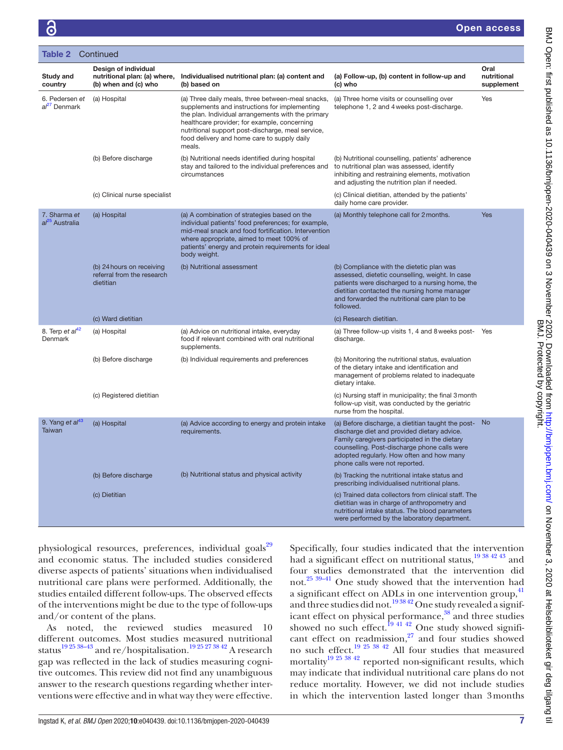|                                              | <b>Table 2</b> Continued                                                     |                                                                                                                                                                                                                                                                                                                        |                                                                                                                                                                                                                                                                                   |                                   |  |  |  |  |
|----------------------------------------------|------------------------------------------------------------------------------|------------------------------------------------------------------------------------------------------------------------------------------------------------------------------------------------------------------------------------------------------------------------------------------------------------------------|-----------------------------------------------------------------------------------------------------------------------------------------------------------------------------------------------------------------------------------------------------------------------------------|-----------------------------------|--|--|--|--|
| Study and<br>country                         | Design of individual<br>nutritional plan: (a) where,<br>(b) when and (c) who | Individualised nutritional plan: (a) content and<br>(b) based on                                                                                                                                                                                                                                                       | (a) Follow-up, (b) content in follow-up and<br>(c) who                                                                                                                                                                                                                            | Oral<br>nutritional<br>supplement |  |  |  |  |
| 6. Pedersen et<br>al <sup>27</sup> Denmark   | (a) Hospital                                                                 | (a) Three daily meals, three between-meal snacks,<br>supplements and instructions for implementing<br>the plan. Individual arrangements with the primary<br>healthcare provider; for example, concerning<br>nutritional support post-discharge, meal service,<br>food delivery and home care to supply daily<br>meals. | (a) Three home visits or counselling over<br>telephone 1, 2 and 4 weeks post-discharge.                                                                                                                                                                                           | Yes                               |  |  |  |  |
|                                              | (b) Before discharge                                                         | (b) Nutritional needs identified during hospital<br>stay and tailored to the individual preferences and<br>circumstances                                                                                                                                                                                               | (b) Nutritional counselling, patients' adherence<br>to nutritional plan was assessed, identify<br>inhibiting and restraining elements, motivation<br>and adjusting the nutrition plan if needed.                                                                                  |                                   |  |  |  |  |
|                                              | (c) Clinical nurse specialist                                                |                                                                                                                                                                                                                                                                                                                        | (c) Clinical dietitian, attended by the patients'<br>daily home care provider.                                                                                                                                                                                                    |                                   |  |  |  |  |
| 7. Sharma et<br>al <sup>25</sup> Australia   | (a) Hospital                                                                 | (a) A combination of strategies based on the<br>individual patients' food preferences; for example,<br>mid-meal snack and food fortification. Intervention<br>where appropriate, aimed to meet 100% of<br>patients' energy and protein requirements for ideal<br>body weight.                                          | (a) Monthly telephone call for 2 months.                                                                                                                                                                                                                                          | <b>Yes</b>                        |  |  |  |  |
|                                              | (b) 24 hours on receiving<br>referral from the research<br>dietitian         | (b) Nutritional assessment                                                                                                                                                                                                                                                                                             | (b) Compliance with the dietetic plan was<br>assessed, dietetic counselling, weight. In case<br>patients were discharged to a nursing home, the<br>dietitian contacted the nursing home manager<br>and forwarded the nutritional care plan to be<br>followed.                     |                                   |  |  |  |  |
|                                              | (c) Ward dietitian                                                           |                                                                                                                                                                                                                                                                                                                        | (c) Research dietitian.                                                                                                                                                                                                                                                           |                                   |  |  |  |  |
| 8. Terp et $al42$<br>Denmark                 | (a) Hospital                                                                 | (a) Advice on nutritional intake, everyday<br>food if relevant combined with oral nutritional<br>supplements.                                                                                                                                                                                                          | (a) Three follow-up visits 1, 4 and 8 weeks post-<br>discharge.                                                                                                                                                                                                                   | Yes                               |  |  |  |  |
|                                              | (b) Before discharge                                                         | (b) Individual requirements and preferences                                                                                                                                                                                                                                                                            | (b) Monitoring the nutritional status, evaluation<br>of the dietary intake and identification and<br>management of problems related to inadequate<br>dietary intake.                                                                                                              |                                   |  |  |  |  |
|                                              | (c) Registered dietitian                                                     |                                                                                                                                                                                                                                                                                                                        | (c) Nursing staff in municipality; the final 3 month<br>follow-up visit, was conducted by the geriatric<br>nurse from the hospital.                                                                                                                                               |                                   |  |  |  |  |
| 9. Yang et al <sup>43</sup><br><b>Taiwan</b> | (a) Hospital                                                                 | (a) Advice according to energy and protein intake<br>requirements.                                                                                                                                                                                                                                                     | (a) Before discharge, a dietitian taught the post-<br>discharge diet and provided dietary advice.<br>Family caregivers participated in the dietary<br>counselling. Post-discharge phone calls were<br>adopted regularly. How often and how many<br>phone calls were not reported. | <b>No</b>                         |  |  |  |  |
|                                              | (b) Before discharge                                                         | (b) Nutritional status and physical activity                                                                                                                                                                                                                                                                           | (b) Tracking the nutritional intake status and<br>prescribing individualised nutritional plans.                                                                                                                                                                                   |                                   |  |  |  |  |
|                                              | (c) Dietitian                                                                |                                                                                                                                                                                                                                                                                                                        | (c) Trained data collectors from clinical staff. The<br>dietitian was in charge of anthropometry and<br>nutritional intake status. The blood parameters<br>were performed by the laboratory department.                                                                           |                                   |  |  |  |  |

physiological resources, preferences, individual goals<sup>29</sup> and economic status. The included studies considered diverse aspects of patients' situations when individualised nutritional care plans were performed. Additionally, the studies entailed different follow-ups. The observed effects of the interventions might be due to the type of follow-ups and/or content of the plans.

As noted, the reviewed studies measured 10 different outcomes. Most studies measured nutritional status<sup>[19 25 38–43](#page-8-18)</sup> and re/hospitalisation.<sup>19 25 27 38 42</sup> A research gap was reflected in the lack of studies measuring cognitive outcomes. This review did not find any unambiguous answer to the research questions regarding whether interventions were effective and in what way they were effective.

Specifically, four studies indicated that the intervention had a significant effect on nutritional status,  $\frac{19384243}{2}$  and four studies demonstrated that the intervention did not.[25 39–41](#page-8-10) One study showed that the intervention had a significant effect on ADLs in one intervention group,<sup>[41](#page-9-9)</sup> and three studies did not.<sup>193842</sup> One study revealed a significant effect on physical performance,<sup>38</sup> and three studies showed no such effect.<sup>19 41 42</sup> One study showed significant effect on readmission, $27$  and four studies showed no such effect.[19 25 38 42](#page-8-18) All four studies that measured mortalit[y19 25 38 42](#page-8-18) reported non-significant results, which may indicate that individual nutritional care plans do not reduce mortality. However, we did not include studies in which the intervention lasted longer than 3months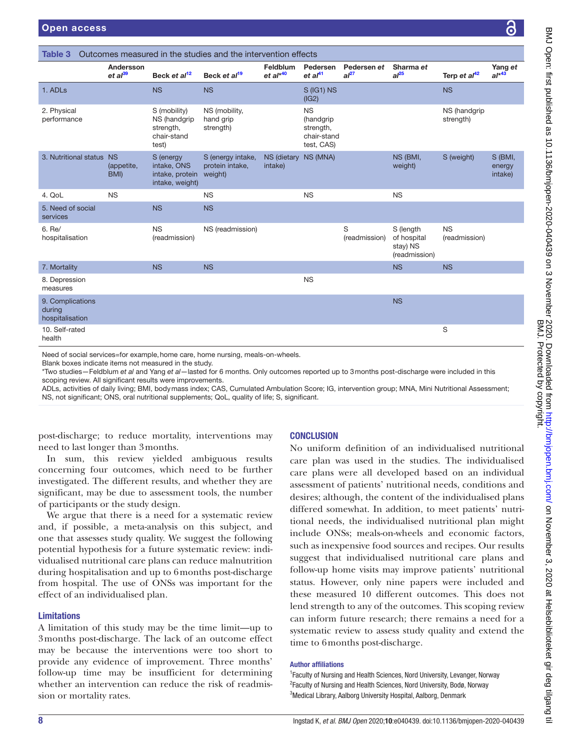<span id="page-7-0"></span>

| Andersson<br>Feldblum<br>Pedersen<br>Pedersen et<br>Sharma et                                                                           |                                 |                                                                   |                                                 |                                 |                                                                  | Yang et            |                                                       |                            |                              |
|-----------------------------------------------------------------------------------------------------------------------------------------|---------------------------------|-------------------------------------------------------------------|-------------------------------------------------|---------------------------------|------------------------------------------------------------------|--------------------|-------------------------------------------------------|----------------------------|------------------------------|
|                                                                                                                                         | $et al^{39}$                    | Beck et al <sup>12</sup>                                          | Beck et al <sup>19</sup>                        | $et al*40$                      | et al <sup>41</sup>                                              | al <sup>27</sup>   | al <sup>25</sup>                                      | Terp et al <sup>42</sup>   | $al^{*43}$                   |
| 1. ADLs                                                                                                                                 |                                 | <b>NS</b>                                                         | <b>NS</b>                                       |                                 | $S$ (IG1) NS<br>(IG2)                                            |                    |                                                       | <b>NS</b>                  |                              |
| 2. Physical<br>performance                                                                                                              |                                 | S (mobility)<br>NS (handgrip<br>strength,<br>chair-stand<br>test) | NS (mobility,<br>hand grip<br>strength)         |                                 | <b>NS</b><br>(handgrip<br>strength,<br>chair-stand<br>test, CAS) |                    |                                                       | NS (handgrip<br>strength)  |                              |
| 3. Nutritional status                                                                                                                   | <b>NS</b><br>(appetite,<br>BMI) | S (energy<br>intake, ONS<br>intake, protein<br>intake, weight)    | S (energy intake,<br>protein intake,<br>weight) | NS (dietary NS (MNA)<br>intake) |                                                                  |                    | NS (BMI,<br>weight)                                   | S (weight)                 | S (BMI,<br>energy<br>intake) |
| 4. QoL                                                                                                                                  | <b>NS</b>                       |                                                                   | <b>NS</b>                                       |                                 | <b>NS</b>                                                        |                    | <b>NS</b>                                             |                            |                              |
| 5. Need of social<br>services                                                                                                           |                                 | <b>NS</b>                                                         | <b>NS</b>                                       |                                 |                                                                  |                    |                                                       |                            |                              |
| 6. Re/<br>hospitalisation                                                                                                               |                                 | <b>NS</b><br>(readmission)                                        | NS (readmission)                                |                                 |                                                                  | S<br>(readmission) | S (length<br>of hospital<br>stay) NS<br>(readmission) | <b>NS</b><br>(readmission) |                              |
| 7. Mortality                                                                                                                            |                                 | <b>NS</b>                                                         | <b>NS</b>                                       |                                 |                                                                  |                    | <b>NS</b>                                             | <b>NS</b>                  |                              |
| 8. Depression<br>measures                                                                                                               |                                 |                                                                   |                                                 |                                 | <b>NS</b>                                                        |                    |                                                       |                            |                              |
| 9. Complications<br>during<br>hospitalisation                                                                                           |                                 |                                                                   |                                                 |                                 |                                                                  |                    | <b>NS</b>                                             |                            |                              |
| 10. Self-rated<br>health                                                                                                                |                                 |                                                                   |                                                 |                                 |                                                                  |                    |                                                       | S                          |                              |
| Need of social services=for example, home care, home nursing, meals-on-wheels.<br>Blank boxes indicate items not measured in the study. |                                 |                                                                   |                                                 |                                 |                                                                  |                    |                                                       |                            |                              |

Blank bo \*Two studies—Feldblum *et al* and Yang *et al*—lasted for 6 months. Only outcomes reported up to 3months post-discharge were included in this scoping review. All significant results were improvements.

ADLs, activities of daily living; BMI, bodymass index; CAS, Cumulated Ambulation Score; IG, intervention group; MNA, Mini Nutritional Assessment; NS, not significant; ONS, oral nutritional supplements; QoL, quality of life; S, significant.

post-discharge; to reduce mortality, interventions may need to last longer than 3months.

In sum, this review yielded ambiguous results concerning four outcomes, which need to be further investigated. The different results, and whether they are significant, may be due to assessment tools, the number of participants or the study design.

We argue that there is a need for a systematic review and, if possible, a meta-analysis on this subject, and one that assesses study quality. We suggest the following potential hypothesis for a future systematic review: individualised nutritional care plans can reduce malnutrition during hospitalisation and up to 6months post-discharge from hospital. The use of ONSs was important for the effect of an individualised plan.

# Limitations

A limitation of this study may be the time limit—up to 3months post-discharge. The lack of an outcome effect may be because the interventions were too short to provide any evidence of improvement. Three months' follow-up time may be insufficient for determining whether an intervention can reduce the risk of readmission or mortality rates.

# **CONCLUSION**

No uniform definition of an individualised nutritional care plan was used in the studies. The individualised care plans were all developed based on an individual assessment of patients' nutritional needs, conditions and desires; although, the content of the individualised plans differed somewhat. In addition, to meet patients' nutritional needs, the individualised nutritional plan might include ONSs; meals-on-wheels and economic factors, such as inexpensive food sources and recipes. Our results suggest that individualised nutritional care plans and follow-up home visits may improve patients' nutritional status. However, only nine papers were included and these measured 10 different outcomes. This does not lend strength to any of the outcomes. This scoping review can inform future research; there remains a need for a systematic review to assess study quality and extend the time to 6months post-discharge.

# Author affiliations

<sup>1</sup> Faculty of Nursing and Health Sciences, Nord University, Levanger, Norway 2 Faculty of Nursing and Health Sciences, Nord University, Bodø, Norway <sup>3</sup>Medical Library, Aalborg University Hospital, Aalborg, Denmark

 $\equiv$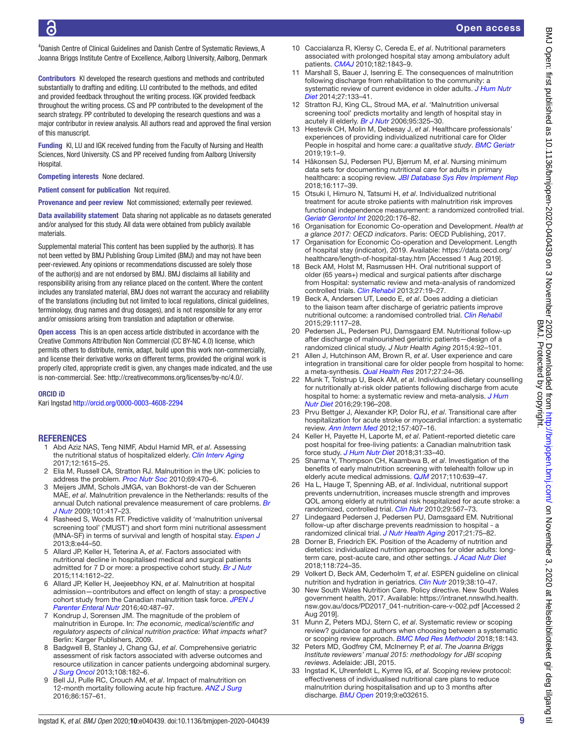4 Danish Centre of Clinical Guidelines and Danish Centre of Systematic Reviews, A Joanna Briggs Institute Centre of Excellence, Aalborg University, Aalborg, Denmark

Contributors KI developed the research questions and methods and contributed substantially to drafting and editing. LU contributed to the methods, and edited and provided feedback throughout the writing process. IGK provided feedback throughout the writing process. CS and PP contributed to the development of the search strategy. PP contributed to developing the research questions and was a major contributor in review analysis. All authors read and approved the final version of this manuscript.

Funding KI, LU and IGK received funding from the Faculty of Nursing and Health Sciences, Nord University. CS and PP received funding from Aalborg University **Hospital** 

Competing interests None declared.

Patient consent for publication Not required.

Provenance and peer review Not commissioned; externally peer reviewed.

Data availability statement Data sharing not applicable as no datasets generated and/or analysed for this study. All data were obtained from publicly available materials.

Supplemental material This content has been supplied by the author(s). It has not been vetted by BMJ Publishing Group Limited (BMJ) and may not have been peer-reviewed. Any opinions or recommendations discussed are solely those of the author(s) and are not endorsed by BMJ. BMJ disclaims all liability and responsibility arising from any reliance placed on the content. Where the content includes any translated material, BMJ does not warrant the accuracy and reliability of the translations (including but not limited to local regulations, clinical guidelines, terminology, drug names and drug dosages), and is not responsible for any error and/or omissions arising from translation and adaptation or otherwise.

Open access This is an open access article distributed in accordance with the Creative Commons Attribution Non Commercial (CC BY-NC 4.0) license, which permits others to distribute, remix, adapt, build upon this work non-commercially, and license their derivative works on different terms, provided the original work is properly cited, appropriate credit is given, any changes made indicated, and the use is non-commercial. See: [http://creativecommons.org/licenses/by-nc/4.0/.](http://creativecommons.org/licenses/by-nc/4.0/)

#### ORCID iD

Kari Ingstad <http://orcid.org/0000-0003-4608-2294>

#### <span id="page-8-0"></span>REFERENCES

- 1 Abd Aziz NAS, Teng NIMF, Abdul Hamid MR, *et al*. Assessing the nutritional status of hospitalized elderly. *[Clin Interv Aging](http://dx.doi.org/10.2147/CIA.S140859)* 2017;12:1615–25.
- 2 Elia M, Russell CA, Stratton RJ. Malnutrition in the UK: policies to address the problem. *[Proc Nutr Soc](http://dx.doi.org/10.1017/S0029665110001746)* 2010;69:470–6.
- 3 Meijers JMM, Schols JMGA, van Bokhorst-de van der Schueren MAE, *et al*. Malnutrition prevalence in the Netherlands: results of the annual Dutch national prevalence measurement of care problems. *[Br](http://dx.doi.org/10.1017/S0007114508998317)  [J Nutr](http://dx.doi.org/10.1017/S0007114508998317)* 2009;101:417–23.
- 4 Rasheed S, Woods RT. Predictive validity of 'malnutrition universal screening tool' ('MUST') and short form mini nutritional assessment (MNA-SF) in terms of survival and length of hospital stay. *[Espen J](http://dx.doi.org/10.1016/j.clnme.2013.01.001)* 2013;8:e44–50.
- <span id="page-8-1"></span>5 Allard JP, Keller H, Teterina A, *et al*. Factors associated with nutritional decline in hospitalised medical and surgical patients admitted for 7 D or more: a prospective cohort study. *[Br J Nutr](http://dx.doi.org/10.1017/S0007114515003244)* 2015;114:1612–22.
- <span id="page-8-2"></span>6 Allard JP, Keller H, Jeejeebhoy KN, *et al*. Malnutrition at hospital admission—contributors and effect on length of stay: a prospective cohort study from the Canadian malnutrition task force. *[JPEN J](http://dx.doi.org/10.1177/0148607114567902)  [Parenter Enteral Nutr](http://dx.doi.org/10.1177/0148607114567902)* 2016;40:487–97.
- 7 Kondrup J, Sorensen JM. The magnitude of the problem of malnutrition in Europe. In: *The economic, medical/scientific and regulatory aspects of clinical nutrition practice: What impacts what?* Berlin: Karger Publishers, 2009.
- 8 Badgwell B, Stanley J, Chang GJ, *et al*. Comprehensive geriatric assessment of risk factors associated with adverse outcomes and resource utilization in cancer patients undergoing abdominal surgery. *[J Surg Oncol](http://dx.doi.org/10.1002/jso.23369)* 2013;108:182–6.
- 9 Bell JJ, Pulle RC, Crouch AM, *et al*. Impact of malnutrition on 12-month mortality following acute hip fracture. *[ANZ J Surg](http://dx.doi.org/10.1111/ans.13429)* 2016;86:157–61.
- 10 Caccialanza R, Klersy C, Cereda E, *et al*. Nutritional parameters associated with prolonged hospital stay among ambulatory adult patients. *[CMAJ](http://dx.doi.org/10.1503/cmaj.091977)* 2010;182:1843–9.
- 11 Marshall S, Bauer J, Isenring E. The consequences of malnutrition following discharge from rehabilitation to the community: a systematic review of current evidence in older adults. *[J Hum Nutr](http://dx.doi.org/10.1111/jhn.12167)  [Diet](http://dx.doi.org/10.1111/jhn.12167)* 2014;27:133–41.
- <span id="page-8-20"></span>12 Stratton RJ, King CL, Stroud MA, *et al*. 'Malnutrition universal screening tool' predicts mortality and length of hospital stay in acutely ill elderly. *[Br J Nutr](http://dx.doi.org/10.1079/BJN20051622)* 2006;95:325–30.
- <span id="page-8-3"></span>13 Hestevik CH, Molin M, Debesay J, *et al*. Healthcare professionals' experiences of providing individualized nutritional care for Older People in hospital and home care: *a qualitative study*. *[BMC Geriatr](http://dx.doi.org/10.1186/s12877-019-1339-0)*  $2019.19.1 - 9$
- <span id="page-8-4"></span>14 Håkonsen SJ, Pedersen PU, Bjerrum M, *et al*. Nursing minimum data sets for documenting nutritional care for adults in primary healthcare: a scoping review. *[JBI Database Sys Rev Implement Rep](http://dx.doi.org/10.11124/JBISRIR-2017-003386)* 2018;16:117–39.
- <span id="page-8-5"></span>15 Otsuki I, Himuro N, Tatsumi H, *et al*. Individualized nutritional treatment for acute stroke patients with malnutrition risk improves functional independence measurement: a randomized controlled trial. *[Geriatr Gerontol Int](http://dx.doi.org/10.1111/ggi.13854)* 2020;20:176–82.
- <span id="page-8-6"></span>16 Organisation for Economic Co-operation and Development. *Health at a glance 2017: OECD indicators*. Paris: OECD Publishing, 2017.
- 17 Organisation for Economic Co-operation and Development. Length of hospital stay (indicator), 2019. Available: [https://data.oecd.org/](https://data.oecd.org/healthcare/length-of-hospital-stay.htm) [healthcare/length-of-hospital-stay.htm](https://data.oecd.org/healthcare/length-of-hospital-stay.htm) [Accessed 1 Aug 2019].
- <span id="page-8-7"></span>18 Beck AM, Holst M, Rasmussen HH. Oral nutritional support of older (65 years+) medical and surgical patients after discharge from Hospital: systematic review and meta-analysis of randomized controlled trials. *[Clin Rehabil](http://dx.doi.org/10.1177/0269215512445396)* 2013;27:19–27.
- <span id="page-8-18"></span>19 Beck A, Andersen UT, Leedo E, *et al*. Does adding a dietician to the liaison team after discharge of geriatric patients improve nutritional outcome: a randomised controlled trial. *[Clin Rehabil](http://dx.doi.org/10.1177/0269215514564700)* 2015;29:1117–28.
- 20 Pedersen JL, Pedersen PU, Damsgaard EM. Nutritional follow-up after discharge of malnourished geriatric patients—design of a randomized clinical study. *J Nutr Health Aging* 2015;4:92–101.
- 21 Allen J, Hutchinson AM, Brown R, *et al*. User experience and care integration in transitional care for older people from hospital to home: a meta-synthesis. *[Qual Health Res](http://dx.doi.org/10.1177/1049732316658267)* 2017;27:24–36.
- <span id="page-8-12"></span>22 Munk T, Tolstrup U, Beck AM, *et al*. Individualised dietary counselling for nutritionally at-risk older patients following discharge from acute hospital to home: a systematic review and meta-analysis. *[J Hum](http://dx.doi.org/10.1111/jhn.12307)  [Nutr Diet](http://dx.doi.org/10.1111/jhn.12307)* 2016;29:196–208.
- <span id="page-8-8"></span>23 Prvu Bettger J, Alexander KP, Dolor RJ, *et al*. Transitional care after hospitalization for acute stroke or myocardial infarction: a systematic review. *[Ann Intern Med](http://dx.doi.org/10.7326/0003-4819-157-6-201209180-00004)* 2012;157:407–16.
- <span id="page-8-9"></span>24 Keller H, Payette H, Laporte M, *et al*. Patient‐reported dietetic care post hospital for free-living patients: a Canadian malnutrition task force study. *[J Hum Nutr Diet](http://dx.doi.org/10.1111/jhn.12484)* 2018;31:33–40.
- <span id="page-8-10"></span>25 Sharma Y, Thompson CH, Kaambwa B, *et al*. Investigation of the benefits of early malnutrition screening with telehealth follow up in elderly acute medical admissions. *[QJM](http://dx.doi.org/10.1093/qjmed/hcx095)* 2017;110:639–47.
- <span id="page-8-11"></span>26 Ha L, Hauge T, Spenning AB, *et al*. Individual, nutritional support prevents undernutrition, increases muscle strength and improves QOL among elderly at nutritional risk hospitalized for acute stroke: a randomized, controlled trial. *[Clin Nutr](http://dx.doi.org/10.1016/j.clnu.2010.01.011)* 2010;29:567–73.
- <span id="page-8-19"></span>27 Lindegaard Pedersen J, Pedersen PU, Damsgaard EM. Nutritional follow-up after discharge prevents readmission to hospital - a randomized clinical trial. *[J Nutr Health Aging](http://dx.doi.org/10.1007/s12603-016-0745-7)* 2017;21:75–82.
- <span id="page-8-13"></span>28 Dorner B, Friedrich EK. Position of the Academy of nutrition and dietetics: individualized nutrition approaches for older adults: longterm care, post-acute care, and other settings. *[J Acad Nutr Diet](http://dx.doi.org/10.1016/j.jand.2018.01.022)* 2018;118:724–35.
- <span id="page-8-14"></span>29 Volkert D, Beck AM, Cederholm T, *et al*. ESPEN guideline on clinical nutrition and hydration in geriatrics. *[Clin Nutr](http://dx.doi.org/10.1016/j.clnu.2018.05.024)* 2019;38:10–47.
- <span id="page-8-15"></span>30 New South Wales Nutrition Care. Policy directive. New South Wales government health, 2017. Available: [https://intranet.nnswlhd.health.](https://intranet.nnswlhd.health.nsw.gov.au/docs/PD2017_041-nutrition-care-v-002.pdf) [nsw.gov.au/docs/PD2017\\_041-nutrition-care-v-002.pdf](https://intranet.nnswlhd.health.nsw.gov.au/docs/PD2017_041-nutrition-care-v-002.pdf) [Accessed 2 Aug 2019].
- <span id="page-8-16"></span>31 Munn Z, Peters MDJ, Stern C, *et al*. Systematic review or scoping review? guidance for authors when choosing between a systematic or scoping review approach. *[BMC Med Res Methodol](http://dx.doi.org/10.1186/s12874-018-0611-x)* 2018;18:143.
- 32 Peters MD, Godfrey CM, McInerney P, *et al*. *The Joanna Briggs Institute reviewers' manual 2015: methodology for JBI scoping reviews*. Adelaide: JBI, 2015.
- <span id="page-8-17"></span>33 Ingstad K, Uhrenfeldt L, Kymre IG, *et al*. Scoping review protocol: effectiveness of individualised nutritional care plans to reduce malnutrition during hospitalisation and up to 3 months after discharge. *[BMJ Open](http://dx.doi.org/10.1136/bmjopen-2019-032615)* 2019;9:e032615.

 $\equiv$ 

BMJ. Protected by copyright. BMJ Open: first published as 10.1136/bmjopen-2020-040439 on 3 November 2020. Downloaded trom http://bmjopen.bmj/.com/ on November 3, 2020 at Helsebiblioteket gir deg tilgang til